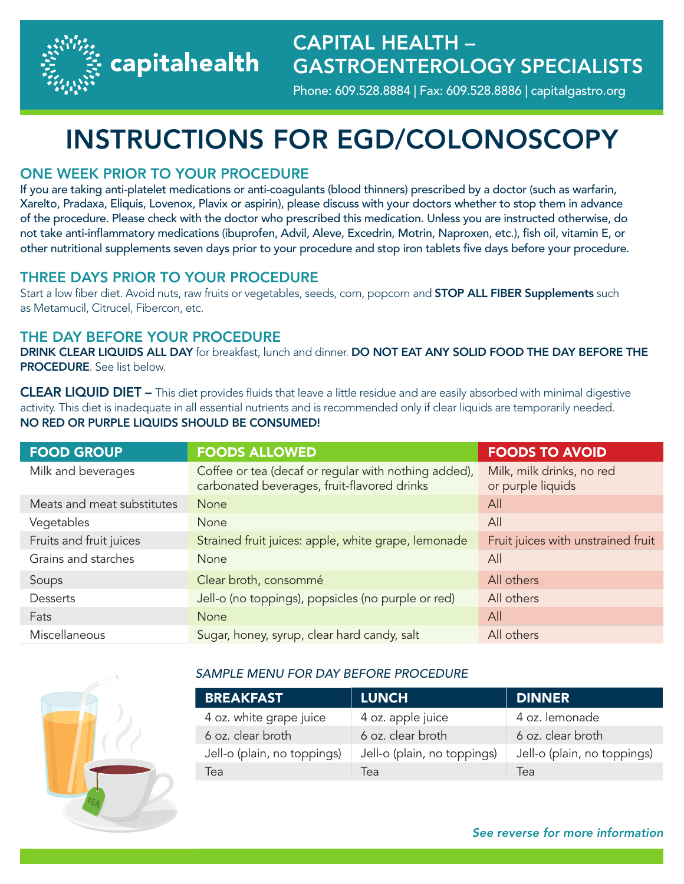capitahealth

## CAPITAL HEALTH – GASTROENTEROLOGY SPECIALISTS

Phone: 609.528.8884 | Fax: 609.528.8886 | capitalgastro.org

# INSTRUCTIONS FOR EGD/COLONOSCOPY

### ONE WEEK PRIOR TO YOUR PROCEDURE

If you are taking anti-platelet medications or anti-coagulants (blood thinners) prescribed by a doctor (such as warfarin, Xarelto, Pradaxa, Eliquis, Lovenox, Plavix or aspirin), please discuss with your doctors whether to stop them in advance of the procedure. Please check with the doctor who prescribed this medication. Unless you are instructed otherwise, do not take anti-inflammatory medications (ibuprofen, Advil, Aleve, Excedrin, Motrin, Naproxen, etc.), fish oil, vitamin E, or other nutritional supplements seven days prior to your procedure and stop iron tablets five days before your procedure.

### THREE DAYS PRIOR TO YOUR PROCEDURE

Start a low fiber diet. Avoid nuts, raw fruits or vegetables, seeds, corn, popcorn and **STOP ALL FIBER Supplements** such as Metamucil, Citrucel, Fibercon, etc.

### THE DAY BEFORE YOUR PROCEDURE

DRINK CLEAR LIQUIDS ALL DAY for breakfast, lunch and dinner. DO NOT EAT ANY SOLID FOOD THE DAY BEFORE THE PROCEDURE. See list below.

CLEAR LIQUID DIET - This diet provides fluids that leave a little residue and are easily absorbed with minimal digestive activity. This diet is inadequate in all essential nutrients and is recommended only if clear liquids are temporarily needed. NO RED OR PURPLE LIQUIDS SHOULD BE CONSUMED!

| <b>FOOD GROUP</b>          | <b>FOODS ALLOWED</b>                                                                                | <b>FOODS TO AVOID</b>                          |
|----------------------------|-----------------------------------------------------------------------------------------------------|------------------------------------------------|
| Milk and beverages         | Coffee or tea (decaf or regular with nothing added),<br>carbonated beverages, fruit-flavored drinks | Milk, milk drinks, no red<br>or purple liquids |
| Meats and meat substitutes | <b>None</b>                                                                                         | All                                            |
| Vegetables                 | None                                                                                                | All                                            |
| Fruits and fruit juices    | Strained fruit juices: apple, white grape, lemonade                                                 | Fruit juices with unstrained fruit             |
| Grains and starches        | None                                                                                                | All                                            |
| Soups                      | Clear broth, consommé                                                                               | All others                                     |
| Desserts                   | Jell-o (no toppings), popsicles (no purple or red)                                                  | All others                                     |
| Fats                       | <b>None</b>                                                                                         | All                                            |
| Miscellaneous              | Sugar, honey, syrup, clear hard candy, salt                                                         | All others                                     |



#### *SAMPLE MENU FOR DAY BEFORE PROCEDURE*

| <b>BREAKFAST</b>            | <b>LUNCH</b>                | <b>DINNER</b>               |
|-----------------------------|-----------------------------|-----------------------------|
| 4 oz. white grape juice     | 4 oz. apple juice           | 4 oz. lemonade              |
| 6 oz. clear broth           | 6 oz. clear broth           | 6 oz. clear broth           |
| Jell-o (plain, no toppings) | Jell-o (plain, no toppings) | Jell-o (plain, no toppings) |
| Tea                         | lea                         | lea                         |